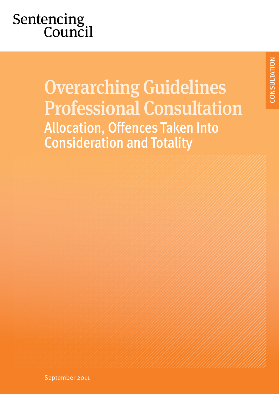## Sentencing<br>Council

CONSULTATION**CONSULTATION** 

Overarching Guidelines Professional Consultation Allocation, Offences Taken Into Consideration and Totality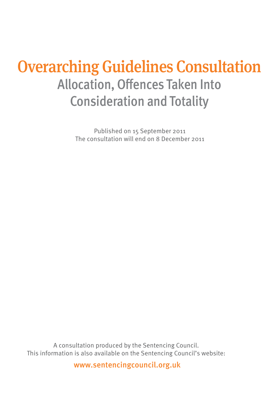## Overarching Guidelines Consultation Allocation, Offences Taken Into Consideration and Totality

Published on 15 September 2011 The consultation will end on 8 December 2011

A consultation produced by the Sentencing Council. This information is also available on the Sentencing Council's website:

<www.sentencingcouncil.org.uk>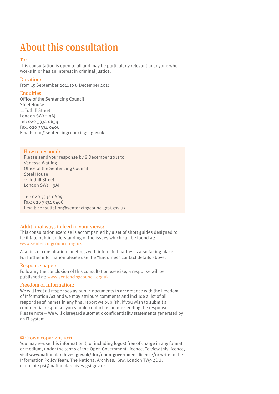### About this consultation

#### To:

This consultation is open to all and may be particularly relevant to anyone who works in or has an interest in criminal justice.

#### Duration:

From 15 September 2011 to 8 December 2011

#### Enquiries:

Office of the Sentencing Council Steel House 11 Tothill Street London SW1H 9AJ Tel: 020 3334 0634 Fax: 020 3334 0406 Email: info@sentencingcouncil.gsi.gov.uk

#### How to respond:

Please send your response by 8 December 2011 to: Vanessa Watling Office of the Sentencing Council Steel House 11 Tothill Street London SW1H 9AJ

Tel: 020 3334 0609 Fax: 020 3334 0406 Email: consultation@sentencingcouncil.gsi.gov.uk

#### Additional ways to feed in your views:

This consultation exercise is accompanied by a set of short guides designed to facilitate public understanding of the issues which can be found at: <www.sentencingcouncil.org.uk>

A series of consultation meetings with interested parties is also taking place. For further information please use the "Enquiries" contact details above.

#### Response paper:

Following the conclusion of this consultation exercise, a response will be published at: <www.sentencingcouncil.org.uk>

#### Freedom of Information:

We will treat all responses as public documents in accordance with the Freedom of Information Act and we may attribute comments and include a list of all respondents' names in any final report we publish. If you wish to submit a confidential response, you should contact us before sending the response. Please note – We will disregard automatic confidentiality statements generated by an IT system.

#### © Crown copyright 2011

You may re-use this information (not including logos) free of charge in any format or medium, under the terms of the Open Government Licence. To view this licence, visit [www.nationalarchives.gov.uk/doc/open-government-licence/](www.nationalarchives.gov.uk/doc/open-government-licence)or write to the Information Policy Team, The National Archives, Kew, London TW9 4DU, or e-mail: psi@nationalarchives.gsi.gov.uk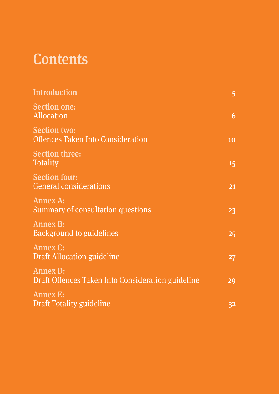## **Contents**

| Introduction                                                         | 5               |
|----------------------------------------------------------------------|-----------------|
| <b>Section one:</b><br>Allocation                                    | 6               |
| <b>Section two:</b><br><b>Offences Taken Into Consideration</b>      | 10              |
| <b>Section three:</b><br><b>Totality</b>                             | 15              |
| <b>Section four:</b><br><b>General considerations</b>                | 21              |
| <b>Annex A:</b><br>Summary of consultation questions                 | $\overline{23}$ |
| <b>Annex B:</b><br><b>Background to guidelines</b>                   | 25              |
| <b>Annex C:</b><br><b>Draft Allocation guideline</b>                 | $\overline{27}$ |
| <b>Annex D:</b><br>Draft Offences Taken Into Consideration guideline | 29              |
| <b>Annex E:</b><br><b>Draft Totality guideline</b>                   | $\overline{32}$ |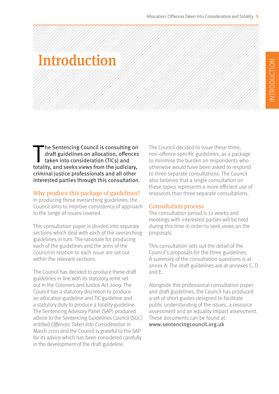## Introduction

# INTRODUCTION

The Sentencing Council is consulting on<br>draft guidelines on allocation, offences<br>taken into consideration (TICs) and<br>totality, and seeks views from the judiciary, he Sentencing Council is consulting on draft guidelines on allocation, offences taken into consideration (TICs) and criminal justice professionals and all other interested parties through this consultation.

#### Why produce this package of guidelines?

In producing these overarching guidelines, the Council aims to improve consistency of approach to the range of issues covered.

This consultation paper is divided into separate sections which deal with each of the overarching guidelines in turn. The rationale for producing each of the guidelines and the aims of the Council in relation to each issue are set out within the relevant sections.

The Council has decided to produce these draft guidelines in line with its statutory remit set out in the Coroners and Justice Act 2009. The Council has a statutory discretion to produce an allocation guideline and TIC guideline and a statutory duty to produce a totality guideline. The Sentencing Advisory Panel (SAP) produced advice to the Sentencing Guidelines Council (SGC) entitled Offences Taken Into Consideration in March 2010 and the Council is grateful to the SAP for its advice which has been considered carefully in the development of the draft guideline.

The Council decided to issue these three, non-offence specific guidelines, as a package to minimise the burden on respondents who otherwise would have been asked to respond to three separate consultations. The Council also believes that a single consultation on these topics represents a more efficient use of resources than three separate consultations.

#### Consultation process

The consultation period is 12 weeks and meetings with interested parties will be held during this time in order to seek views on the proposals.

This consultation sets out the detail of the Council's proposals for the three guidelines. A summary of the consultation questions is at annex A. The draft guidelines are at annexes C, D and E.

Alongside this professional consultation paper and draft guidelines, the Council has produced a set of short guides designed to facilitate public understanding of the issues, a resource assessment and an equality impact assessment. These documents can be found at: <www.sentencingcouncil.org.uk>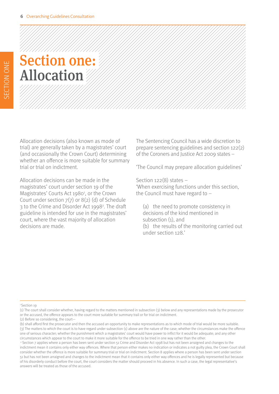## Section one: **Allocation**

Allocation decisions (also known as mode of trial) are generally taken by a magistrates' court (and occasionally the Crown Court) determining whether an offence is more suitable for summary trial or trial on indictment.

Allocation decisions can be made in the magistrates' court under section 19 of the Magistrates' Courts Act 1980<sup>1</sup>, or the Crown Court under section  $7(7)$  or  $8(2)$  (d) of Schedule 3 to the Crime and Disorder Act 1998<sup>2</sup>. The draft guideline is intended for use in the magistrates' court, where the vast majority of allocation decisions are made.

The Sentencing Council has a wide discretion to prepare sentencing guidelines and section 122(2) of the Coroners and Justice Act 2009 states –

'The Council may prepare allocation guidelines'

Section  $122(8)$  states –

'When exercising functions under this section, the Council must have regard to –

(a) the need to promote consistency in decisions of the kind mentioned in subsection (1), and

(b) the results of the monitoring carried out under section 128.'

<sup>1</sup> Section 19

(2) Before so considering, the court—

<sup>2</sup> Section 7 applies where a person has been sent under section 51 Crime and Disorder Act 1998 but has not been arraigned and changes to the indictment mean it contains only either way offences. Where that person either makes no indication or indicates a not guilty plea, the Crown Court shall consider whether the offence is more suitable for summary trial or trial on indictment. Section 8 applies where a person has been sent under section 51 but has not been arraigned and changes to the indictment mean that it contains only either way offences and he is legally represented but because of his disorderly conduct before the court, the court considers the matter should proceed in his absence. In such a case, the legal representative's answers will be treated as those of the accused.

<sup>(1)</sup> The court shall consider whether, having regard to the matters mentioned in subsection (3) below and any representations made by the prosecutor or the accused, the offence appears to the court more suitable for summary trail or for trial on indictment.

<sup>(</sup>b) shall afford first the prosecutor and then the accused an opportunity to make representations as to which mode of trial would be more suitable. (3) The matters to which the court is to have regard under subsection (1) above are the nature of the case; whether the circumstances make the offence one of serious character; whether the punishment which a magistrates' court would have power to inflict for it would be adequate; and any other circumstances which appear to the court to make it more suitable for the offence to be tried in one way rather than the other.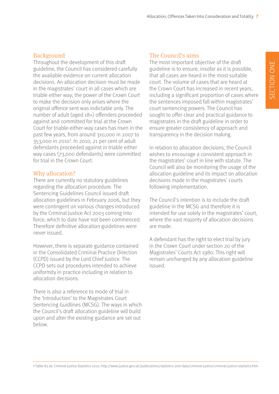#### Background

Throughout the development of this draft guideline, the Council has considered carefully the available evidence on current allocation decisions. An allocation decision must be made in the magistrates' court in all cases which are triable either way; the power of the Crown Court to make the decision only arises where the original offence sent was indictable only. The number of adult (aged 18+) offenders proceeded against and committed for trial at the Crown Court for triable-either-way cases has risen in the past few years, from around 310,000 in 2007 to 353,000 in 2010<sup>3</sup>. In 2010, 21 per cent of adult defendants proceeded against in triable either way cases (73,000 defendants) were committed for trial in the Crown Court.

#### Why allocation?

There are currently no statutory guidelines regarding the allocation procedure. The Sentencing Guidelines Council issued draft allocation guidelines in February 2006, but they were contingent on various changes introduced by the Criminal Justice Act 2003 coming into force, which to date have not been commenced. Therefore definitive allocation guidelines were never issued.

However, there is separate guidance contained in the Consolidated Criminal Practice Direction (CCPD) issued by the Lord Chief Justice. The CCPD sets out procedures intended to achieve uniformity in practice including in relation to allocation decisions.

There is also a reference to mode of trial in the 'Introduction' to the Magistrates Court Sentencing Guidlines (MCSG). The ways in which the Council's draft allocation guideline will build upon and alter the existing guidance are set out below.

#### The Council's aims

The most important objective of the draft guideline is to ensure, insofar as it is possible, that all cases are heard in the most suitable court. The volume of cases that are heard at the Crown Court has increased in recent years, including a significant proportion of cases where the sentences imposed fall within magistrates' court sentencing powers. The Council has sought to offer clear and practical guidance to magistrates in the draft guideline in order to ensure greater consistency of approach and transparency in the decision making.

In relation to allocation decisions, the Council wishes to encourage a consistent approach in the magistrates' court in line with statute. The Council will also be monitoring the usage of the allocation guideline and its impact on allocation decisions made in the magistrates' courts following implementation.

The Council's intention is to include the draft guideline in the MCSG and therefore it is intended for use solely in the magistrates' court, where the vast majority of allocation decisions are made.

A defendant has the right to elect trial by jury in the Crown Court under section 20 of the Magistrates' Courts Act 1980. This right will remain unchanged by any allocation guideline issued.

3 Table A3.18, Criminal Justice Statistics 2010, <http://www.justice.gov.uk/publications/statistics-and-data/criminal-justice/criminal-justice-statistics.htm>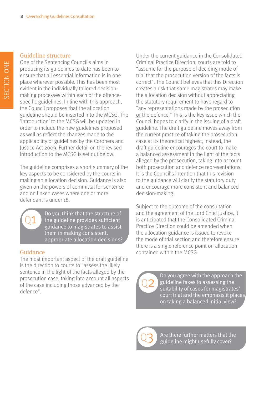#### Guideline structure

One of the Sentencing Council's aims in producing its guidelines to date has been to ensure that all essential information is in one place wherever possible. This has been most evident in the individually tailored decisionmaking processes within each of the offencespecific guidelines. In line with this approach, the Council proposes that the allocation guideline should be inserted into the MCSG. The 'Introduction' to the MCSG will be updated in order to include the new guidelines proposed as well as reflect the changes made to the applicability of guidelines by the Coroners and Justice Act 2009. Further detail on the revised introduction to the MCSG is set out below.

The guideline comprises a short summary of the key aspects to be considered by the courts in making an allocation decision. Guidance is also given on the powers of committal for sentence and on linked cases where one or more defendant is under 18.



Do you think that the structure of  $Q1$  Do you think that the structure of<br> $Q1$  the guideline provides sufficient guidance to magistrates to assist them in making consistent, appropriate allocation decisions?

#### Guidance

The most important aspect of the draft guideline is the direction to courts to "assess the likely sentence in the light of the facts alleged by the prosecution case, taking into account all aspects of the case including those advanced by the defence".

Under the current guidance in the Consolidated Criminal Practice Direction, courts are told to "assume for the purpose of deciding mode of trial that the prosecution version of the facts is correct". The Council believes that this Direction creates a risk that some magistrates may make the allocation decision without appreciating the statutory requirement to have regard to "any representations made by the prosecution or the defence." This is the key issue which the Council hopes to clarify in the issuing of a draft guideline. The draft guideline moves away from the current practice of taking the prosecution case at its theoretical highest; instead, the draft guideline encourages the court to make a balanced assessment in the light of the facts alleged by the prosecution, taking into account both prosecution and defence representations. It is the Council's intention that this revision to the guidance will clarify the statutory duty and encourage more consistent and balanced decision-making.

Subject to the outcome of the consultation and the agreement of the Lord Chief Justice, it is anticipated that the Consolidated Criminal Practice Direction could be amended when the allocation guidance is issued to revoke the mode of trial section and therefore ensure there is a single reference point on allocation contained within the MCSG.



Do you agree with the approach the guideline takes to assessing the suitability of cases for magistrates' court trial and the emphasis it places on taking a balanced initial view?



Are there further matters that the guideline might usefully cover?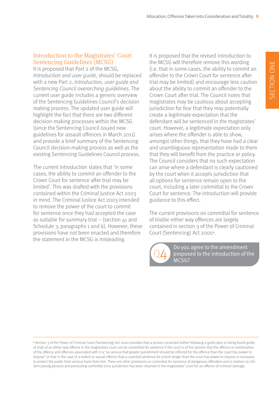#### Introduction to the Magistrates' Court Sentencing Guidelines (MCSG)

It is proposed that Part 2 of the MCSG, Introduction and user guide, should be replaced with a new Part 2, Introduction, user guide and Sentencing Council overarching guidelines. The current user guide includes a generic overview of the Sentencing Guidelines Council's decision making process. The updated user guide will highlight the fact that there are two different decision-making processes within the MCSG (since the Sentencing Council issued new guidelines for assault offences in March 2011) and provide a brief summary of the Sentencing Council decision-making process as well as the existing Sentencing Guidelines Council process.

The current introduction states that 'in some cases, the ability to commit an offender to the Crown Court for sentence after trial may be limited'. This was drafted with the provisions contained within the Criminal Justice Act 2003 in mind. The Criminal Justice Act 2003 intended to remove the power of the court to commit for sentence once they had accepted the case as suitable for summary trial – (section  $41$  and Schedule 3, paragraphs 1 and 6). However, these provisions have not been enacted and therefore the statement in the MCSG is misleading.

It is proposed that the revised introduction to the MCSG will therefore remove this wording (i.e. that in some cases, the ability to commit an offender to the Crown Court for sentence after trial may be limited) and encourage less caution about the ability to commit an offender to the Crown Court after trial. The Council notes that magistrates may be cautious about accepting jurisdiction for fear that they may potentially create a legitimate expectation that the defendant will be sentenced in the magistrates' court. However, a legitimate expectation only arises where the offender is able to show, amongst other things, that they have had a clear and unambiguous representation made to them that they will benefit from the practice or policy. The Council considers that no such expectation can arise where a defendant is clearly cautioned by the court when it accepts jurisdiction that all options for sentence remain open to the court, including a later committal to the Crown Court for sentence. The introduction will provide guidance to this effect.

The current provisions on committal for sentence of triable either way offences are largely contained in section 3 of the Power of Criminal Court (Sentencing) Act 20004.

Do you agree to the amendment  $Q_4$  Do you agree to the amendment<br> $Q_4$  proposed to the introduction of the MCSG?

<sup>4</sup> Section 3 of the Power of Criminal Court (Sentencing) Act 2000 provides that a person convicted (either following a guilty plea or being found guilty at trial) of an either way offence in the magistrates court can be committed for sentence if the court is of the opinion that the offence or combination of the offence and offences associated with it is "so serious that greater punishment should be inflicted for the offence than the court has power to impose" or that in the case of a violent or sexual offence that a custodial sentence for a term longer than the court has power to impose is necessary to protect the public from serious harm from him. There are other provisions on committal for sentence of dangerous offenders and in relation to children/young persons and precluding committal once jurisdiction has been retained in the magistrates' court for an offence of criminal damage.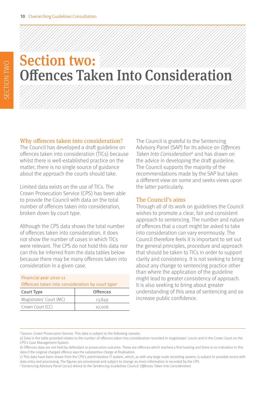## Section two: Offences Taken Into Consideration

Why offences taken into consideration?

The Council has developed a draft guideline on offences taken into consideration (TICs) because whilst there is well-established practice on the matter, there is no single source of guidance about the approach the courts should take.

Limited data exists on the use of TICs. The Crown Prosecution Service (CPS) has been able to provide the Council with data on the total number of offences taken into consideration, broken down by court type.

Although the CPS data shows the total number of offences taken into consideration, it does not show the number of cases in which TICs were relevant. The CPS do not hold this data nor can this be inferred from the data tables below because there may be many offences taken into consideration in a given case.

| Financial year 2010-11                                       |                 |  |
|--------------------------------------------------------------|-----------------|--|
| Offences taken into consideration by court type <sup>5</sup> |                 |  |
| <b>Court Type</b>                                            | <b>Offences</b> |  |
| Magistrates' Court (MC)                                      | 13,849          |  |
| Crown Court (CC)                                             | 10.006          |  |

The Council is grateful to the Sentencing Advisory Panel (SAP) for its advice on Offences Taken Into Consideration<sup>6</sup> and has drawn on the advice in developing the draft guideline. The Council supports the majority of the recommendations made by the SAP but takes a different view on some and seeks views upon the latter particularly.

#### The Council's aims

Through all of its work on guidelines the Council wishes to promote a clear, fair and consistent approach to sentencing. The number and nature of offences that a court might be asked to take into consideration can vary enormously. The Council therefore feels it is important to set out the general principles, procedure and approach that should be taken to TICs in order to support clarity and consistency. It is not seeking to bring about any change to sentencing practice other than where the application of the guideline might lead to greater consistency of approach. It is also seeking to bring about greater understanding of this area of sentencing and so increase public confidence.

c) This data have been drawn from the CPS's administrative IT system, which, as with any large scale recording system, is subject to possible errors with data entry and processing. The figures are provisional and subject to change as more information is recorded by the CPS. 6 Sentencing Advisory Panel (2010) Advice to the Sentencing Guidelines Council: Offences Taken Into Consideration.

<sup>5</sup> Source: Crown Prosecution Service. This data is subject to the following caveats:

a) Data in the table provided relates to the number of offences taken into consideration recorded in magistrates' courts and in the Crown Court on the CPS's Case Management System.

b) Offences data are not held by defendant or prosecution outcome. These are offences which reached a first hearing and there is no indication in this data if the original charged offence was the substantive charge at finalisation.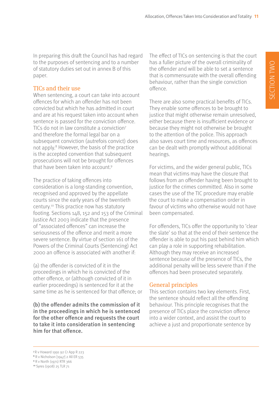In preparing this draft the Council has had regard to the purposes of sentencing and to a number of statutory duties set out in annex B of this paper.

#### TICs and their use

When sentencing, a court can take into account offences for which an offender has not been convicted but which he has admitted in court and are at his request taken into account when sentence is passed for the conviction offence. TICs do not in law constitute a conviction<sup>7</sup> and therefore the formal legal bar on a subsequent conviction (autrefois convict) does not apply.<sup>8</sup> However, the basis of the practice is the accepted convention that subsequent prosecutions will not be brought for offences that have been taken into account?

The practice of taking offences into consideration is a long-standing convention, recognised and approved by the appellate courts since the early years of the twentieth century.10 This practice now has statutory footing. Sections 148, 152 and 153 of the Criminal Justice Act 2003 indicate that the presence of "associated offences" can increase the seriousness of the offence and merit a more severe sentence. By virtue of section 161 of the Powers of the Criminal Courts (Sentencing) Act 2000 an offence is associated with another if:

(a) the offender is convicted of it in the proceedings in which he is convicted of the other offence, or (although convicted of it in earlier proceedings) is sentenced for it at the same time as he is sentenced for that offence; or

(b) the offender admits the commission of it in the proceedings in which he is sentenced for the other offence and requests the court to take it into consideration in sentencing him for that offence.

The effect of TICs on sentencing is that the court has a fuller picture of the overall criminality of the offender and will be able to set a sentence that is commensurate with the overall offending behaviour, rather than the single conviction offence.

There are also some practical benefits of TICs. They enable some offences to be brought to justice that might otherwise remain unresolved, either because there is insufficient evidence or because they might not otherwise be brought to the attention of the police. This approach also saves court time and resources, as offences can be dealt with promptly without additional hearings.

For victims, and the wider general public, TICs mean that victims may have the closure that follows from an offender having been brought to justice for the crimes committed. Also in some cases the use of the TIC procedure may enable the court to make a compensation order in favour of victims who otherwise would not have been compensated.

For offenders, TICs offer the opportunity to 'clear the slate' so that at the end of their sentence the offender is able to put his past behind him which can play a role in supporting rehabilitation. Although they may receive an increased sentence because of the presence of TICs, the additional penalty will be less severe than if the offences had been prosecuted separately.

#### General principles

This section contains two key elements. First, the sentence should reflect all the offending behaviour. This principle recognises that the presence of TICs place the conviction offence into a wider context, and assist the court to achieve a just and proportionate sentence by

<sup>10</sup> Syres (1908) 25 TLR 71

<sup>7</sup> R v Howard 1991 92 Cr App R 223

<sup>8</sup> R v Nicholson [1947] 2 All ER 535

<sup>9</sup> R v North (1971) RTR 366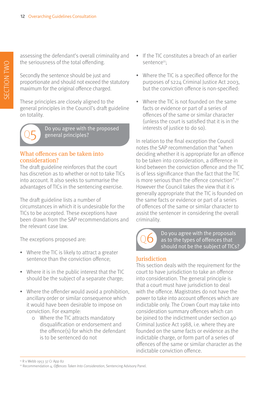Secondly the sentence should be just and proportionate and should not exceed the statutory maximum for the original offence charged.

These principles are closely aligned to the general principles in the Council's draft guideline on totality.



Do you agree with the proposed general principles?

#### What offences can be taken into consideration?

The draft guideline reinforces that the court has discretion as to whether or not to take TICs into account. It also seeks to summarise the advantages of TICs in the sentencing exercise.

The draft guideline lists a number of circumstances in which it is undesirable for the TICs to be accepted. These exceptions have been drawn from the SAP recommendations and the relevant case law.

The exceptions proposed are:

- Where the TIC is likely to attract a greater sentence than the conviction offence;
- Where it is in the public interest that the TIC should be the subject of a separate charge;
- Where the offender would avoid a prohibition, ancillary order or similar consequence which it would have been desirable to impose on conviction. For example:
	- 0 Where the TIC attracts mandatory disqualification or endorsement and the offence(s) for which the defendant is to be sentenced do not
- If the TIC constitutes a breach of an earlier sentence<sup>11</sup>:
- Where the TIC is a specified offence for the purposes of s224 Criminal Justice Act 2003, but the conviction offence is non-specified:
- Where the TIC is not founded on the same facts or evidence or part of a series of offences of the same or similar character (unless the court is satisfied that it is in the interests of justice to do so).

In relation to the final exception the Council notes the SAP recommendation that "when deciding whether it is appropriate for an offence to be taken into consideration, a difference in kind between the conviction offence and the TIC is of less significance than the fact that the TIC is more serious than the offence conviction".12 However the Council takes the view that it is generally appropriate that the TIC is founded on the same facts or evidence or part of a series of offences of the same or similar character to assist the sentencer in considering the overall criminality.



Do you agree with the proposals<br>  $\overline{Q6}$  as to the types of offences that should not be the subject of TICs?

#### **Jurisdiction**

This section deals with the requirement for the court to have jurisdiction to take an offence into consideration. The general principle is that a court must have jurisdiction to deal with the offence. Magistrates do not have the power to take into account offences which are indictable only. The Crown Court may take into consideration summary offences which can be joined to the indictment under section  $\Delta$ 0 Criminal Justice Act 1988, i.e. where they are founded on the same facts or evidence as the indictable charge, or form part of a series of offences of the same or similar character as the indictable conviction offence.

<sup>&</sup>lt;sup>11</sup> R v Webb 1953 37 Cr App 82

<sup>&</sup>lt;sup>12</sup> Recommendation 4, Offences Taken Into Consideration, Sentencing Advisory Panel.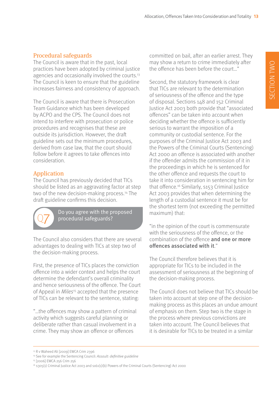#### Procedural safeguards

The Council is aware that in the past, local practices have been adopted by criminal justice agencies and occasionally involved the courts.<sup>13</sup> The Council is keen to ensure that the guideline increases fairness and consistency of approach.

The Council is aware that there is Prosecution Team Guidance which has been developed by ACPO and the CPS. The Council does not intend to interfere with prosecution or police procedures and recognises that these are outside its jurisdiction. However, the draft guideline sets out the minimum procedures, derived from case law, that the court should follow before it agrees to take offences into consideration.

#### Application

The Council has previously decided that TICs should be listed as an aggravating factor at step two of the new decision-making process.14 The draft guideline confirms this decision.

Do you agree with the proposed procedural safeguards?

The Council also considers that there are several advantages to dealing with TICs at step two of the decision-making process.

First, the presence of TICs places the conviction offence into a wider context and helps the court determine the defendant's overall criminality and hence seriousness of the offence. The Court of Appeal in Miles<sup>15</sup> accepted that the presence of TICs can be relevant to the sentence, stating:

"…the offences may show a pattern of criminal activity which suggests careful planning or deliberate rather than casual involvement in a crime. They may show an offence or offences

committed on bail, after an earlier arrest. They may show a return to crime immediately after the offence has been before the court…"

Second, the statutory framework is clear that TICs are relevant to the determination of seriousness of the offence and the type of disposal. Sections 148 and 152 Criminal Justice Act 2003 both provide that "associated offences" can be taken into account when deciding whether the offence is sufficiently serious to warrant the imposition of a community or custodial sentence. For the purposes of the Criminal Justice Act 2003 and the Powers of the Criminal Courts (Sentencing) Act 2000 an offence is associated with another if the offender admits the commission of it in the proceedings in which he is sentenced for the other offence and requests the court to take it into consideration in sentencing him for that offence.16 Similarly, s153 Criminal Justice Act 2003 provides that when determining the length of a custodial sentence it must be for the shortest term (not exceeding the permitted maximum) that:

"in the opinion of the court is commensurate with the seriousness of the offence, or the combination of the offence and one or more offences associated with it."

The Council therefore believes that it is appropriate for TICs to be included in the assessment of seriousness at the beginning of the decision-making process.

The Council does not believe that TICs should be taken into account at step one of the decisionmaking process as this places an undue amount of emphasis on them. Step two is the stage in the process where previous convictions are taken into account. The Council believes that it is desirable for TICs to be treated in a similar

15 [2006] EWCA 256 Crim 256

<sup>13</sup> R v Waheed Ali [2009] EWCA Crim 2396

<sup>&</sup>lt;sup>14</sup> See for example the Sentencing Council: Assault: definitive quideline

<sup>16</sup> s305(1) Criminal Justice Act 2003 and s161(1)(b) Powers of the Criminal Courts (Sentencing) Act 2000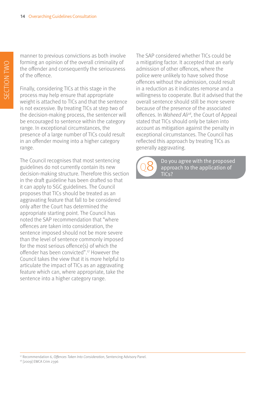manner to previous convictions as both involve forming an opinion of the overall criminality of the offender and consequently the seriousness of the offence.

Finally, considering TICs at this stage in the process may help ensure that appropriate weight is attached to TICs and that the sentence is not excessive. By treating TICs at step two of the decision-making process, the sentencer will be encouraged to sentence within the category range. In exceptional circumstances, the presence of a large number of TICs could result in an offender moving into a higher category range.

The Council recognises that most sentencing guidelines do not currently contain its new decision-making structure. Therefore this section in the draft guideline has been drafted so that it can apply to SGC guidelines. The Council proposes that TICs should be treated as an aggravating feature that fall to be considered only after the Court has determined the appropriate starting point. The Council has noted the SAP recommendation that "where offences are taken into consideration, the sentence imposed should not be more severe than the level of sentence commonly imposed for the most serious offence(s) of which the offender has been convicted".17 However the Council takes the view that it is more helpful to articulate the impact of TICs as an aggravating feature which can, where appropriate, take the sentence into a higher category range.

The SAP considered whether TICs could be a mitigating factor. It accepted that an early admission of other offences, where the police were unlikely to have solved those offences without the admission, could result in a reduction as it indicates remorse and a willingness to cooperate. But it advised that the overall sentence should still be more severe because of the presence of the associated offences. In Waheed Ali<sup>18</sup>, the Court of Appeal stated that TICs should only be taken into account as mitigation against the penalty in exceptional circumstances. The Council has reflected this approach by treating TICs as generally aggravating.



 $\overline{\text{Q8}}$  Do you agree with the proposed<br> $\overline{\text{Q8}}$  approach to the application of TICs?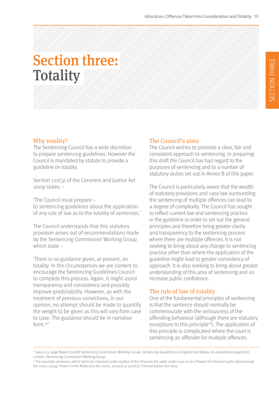## Section three: **Totality**

#### Why totality?

The Sentencing Council has a wide discretion to prepare sentencing guidelines. However the Council is mandated by statute to provide a guideline on totality.

Section 120(3) of the Coroners and Justice Act 2009 states –

'The Council must prepare –

b) sentencing guidelines about the application of any rule of law as to the totality of sentences.'

The Council understands that this statutory provision arises out of recommendations made by the Sentencing Commission Working Group which state –

'There is no guidance given, at present, on totality. In the circumstances we are content to encourage the Sentencing Guidelines Council to complete this process. Again, it might assist transparency and consistency and possibly improve predictability. However, as with the treatment of previous convictions, in our opinion, no attempt should be made to quantify the weight to be given as this will vary from case to case. The guidance should be in narrative form.19'

#### The Council's aims

The Council wishes to promote a clear, fair and consistent approach to sentencing. In preparing this draft the Council has had regard to the purposes of sentencing and to a number of statutory duties set out in Annex B of this paper.

The Council is particularly aware that the wealth of statutory provisions and case law surrounding the sentencing of multiple offences can lead to a degree of complexity. The Council has sought to reflect current law and sentencing practice in the guideline in order to set out the general principles and therefore bring greater clarity and transparency to the sentencing process where there are multiple offences. It is not seeking to bring about any change to sentencing practice other than where the application of the guideline might lead to greater consistency of approach. It is also seeking to bring about greater understanding of this area of sentencing and so increase public confidence.

#### The rule of law of totality

One of the fundamental principles of sentencing is that the sentence should normally be commensurate with the seriousness of the offending behaviour (although there are statutory exceptions to this principle<sup>20</sup>). The application of this principle is complicated where the court is sentencing an offender for multiple offences.

19 para 7.13, Gage Report (2008) Sentencing Commission Working Group: Sentencing Guidelines in England and Wales: An evolutionary approach, London: Sentencing Commission Working Group.

20 For example sentences which fall to be imposed under s51A(2) of the Firearms Act 1968, under s110 or s111 Powers of Criminal Courts (Sentencing) Act 2000, s29(4) Violent Crime Reduction Act 2006 , s225(2) or s226(2) Criminal Justice Act 2003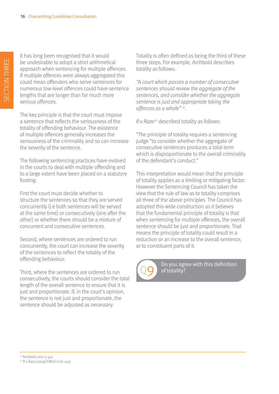It has long been recognised that it would be undesirable to adopt a strict arithmetical approach when sentencing for multiple offences. If multiple offences were always aggregated this could mean offenders who serve sentences for numerous low-level offences could have sentence lengths that are longer than for much more serious offences.

The key principle is that the court must impose a sentence that reflects the seriousness of the totality of offending behaviour. The existence of multiple offences generally increases the seriousness of the criminality and so can increase the severity of the sentence.

The following sentencing practices have evolved in the courts to deal with multiple offending and to a large extent have been placed on a statutory footing:

First the court must decide whether to structure the sentences so that they are served concurrently (i.e both sentences will be served at the same time) or consecutively (one after the other) or whether there should be a mixture of concurrent and consecutive sentences.

Second, where sentences are ordered to run concurrently, the court can increase the severity of the sentences to reflect the totality of the offending behaviour.

Third, where the sentences are ordered to run consecutively, the courts should consider the total length of the overall sentence to ensure that it is just and proportionate. If, in the court's opinion, the sentence is not just and proportionate, the sentence should be adjusted as necessary.

Totality is often defined as being the third of these three steps. For example, Archbold describes totality as follows:

"A court which passes a number of consecutive sentences should review the aggregate of the sentences, and consider whether the aggregate sentence is just and appropriate taking the offences as a whole" 21.

 $R$  v Raza<sup>22</sup> described totality as follows:

"The principle of totality requires a sentencing judge "to consider whether the aggregate of consecutive sentences produces a total term which is disproportionate to the overall criminality of the defendant's conduct."

This interpretation would mean that the principle of totality applies as a limiting or mitigating factor. However the Sentencing Council has taken the view that the rule of law as to totality comprises all three of the above principles. The Council has adopted this wide construction as it believes that the fundamental principle of totality is that when sentencing for multiple offences, the overall sentence should be just and proportionate. That means the principle of totality could result in a reduction or an increase to the overall sentence, or to constituent parts of it.



Do you agree with this definition of totality?

<sup>21</sup> Archbold 2011 5-342

<sup>22</sup> R v Raza [2009] EWCA Crim 1413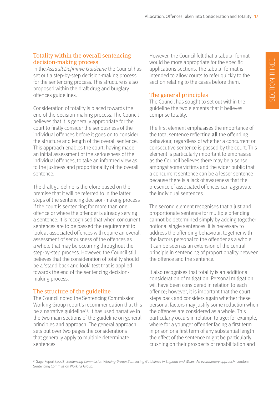#### Totality within the overall sentencing decision-making process

In the Assault Definitive Guideline the Council has set out a step-by-step decision-making process for the sentencing process. This structure is also proposed within the draft drug and burglary offences guidelines.

Consideration of totality is placed towards the end of the decision-making process. The Council believes that it is generally appropriate for the court to firstly consider the seriousness of the individual offences before it goes on to consider the structure and length of the overall sentence. This approach enables the court, having made an initial assessment of the seriousness of the individual offences, to take an informed view as to the justness and proportionality of the overall sentence.

The draft guideline is therefore based on the premise that it will be referred to in the latter steps of the sentencing decision-making process if the court is sentencing for more than one offence or where the offender is already serving a sentence. It is recognised that when concurrent sentences are to be passed the requirement to look at associated offences will require an overall assessment of seriousness of the offences as a whole that may be occurring throughout the step-by-step process. However, the Council still believes that the consideration of totality should be a 'stand back and look' test that is applied towards the end of the sentencing decisionmaking process.

#### The structure of the guideline

The Council noted the Sentencing Commission Working Group report's recommendation that this be a narrative guideline<sup>23</sup>. It has used narrative in the two main sections of the guideline on general principles and approach. The general approach sets out over two pages the considerations that generally apply to multiple determinate sentences.

However, the Council felt that a tabular format would be more appropriate for the specific applications sections. The tabular format is intended to allow courts to refer quickly to the section relating to the cases before them.

#### The general principles

The Council has sought to set out within the guideline the two elements that it believes comprise totality.

The first element emphasises the importance of the total sentence reflecting all the offending behaviour, regardless of whether a concurrent or consecutive sentence is passed by the court. This element is particularly important to emphasise as the Council believes there may be a sense amongst some victims and the wider public that a concurrent sentence can be a lesser sentence because there is a lack of awareness that the presence of associated offences can aggravate the individual sentences.

The second element recognises that a just and proportionate sentence for multiple offending cannot be determined simply by adding together notional single sentences. It is necessary to address the offending behaviour, together with the factors personal to the offender as a whole. It can be seen as an extension of the central principle in sentencing of proportionality between the offence and the sentence.

It also recognises that totality is an additional consideration of mitigation. Personal mitigation will have been considered in relation to each offence; however, it is important that the court steps back and considers again whether these personal factors may justify some reduction when the offences are considered as a whole. This particularly occurs in relation to age; for example, where for a younger offender facing a first term in prison or a first term of any substantial length the effect of the sentence might be particularly crushing on their prospects of rehabilitation and

<sup>23</sup> Gage Report (2008) Sentencing Commission Working Group: Sentencing Guidelines in England and Wales: An evolutionary approach, London: Sentencing Commission Working Group.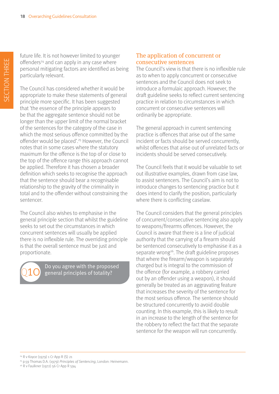future life. It is not however limited to younger offenders<sup>24</sup> and can apply in any case where personal mitigating factors are identified as being particularly relevant.

The Council has considered whether it would be appropriate to make these statements of general principle more specific. It has been suggested that 'the essence of the principle appears to be that the aggregate sentence should not be longer than the upper limit of the normal bracket of the sentences for the category of the case in which the most serious offence committed by the offender would be placed'.25 However, the Council notes that in some cases where the statutory maximum for the offence is the top of or close to the top of the offence range this approach cannot be applied. Therefore it has chosen a broader definition which seeks to recognise the approach that the sentence should bear a recognisable relationship to the gravity of the criminality in total and to the offender without constraining the sentencer.

The Council also wishes to emphasise in the general principle section that whilst the guideline seeks to set out the circumstances in which concurrent sentences will usually be applied there is no inflexible rule. The overriding principle is that the overall sentence must be just and proportionate.



Q10 Do you agree with the proposed<br>Q10 general principles of totality?

#### The application of concurrent or consecutive sentences

The Council's view is that there is no inflexible rule as to when to apply concurrent or consecutive sentences and the Council does not seek to introduce a formulaic approach. However, the draft guideline seeks to reflect current sentencing practice in relation to circumstances in which concurrent or consecutive sentences will ordinarily be appropriate.

The general approach in current sentencing practice is offences that arise out of the same incident or facts should be served concurrently, whilst offences that arise out of unrelated facts or incidents should be served consecutively.

The Council feels that it would be valuable to set out illustrative examples, drawn from case law, to assist sentencers. The Council's aim is not to introduce changes to sentencing practice but it does intend to clarify the position, particularly where there is conflicting caselaw.

The Council considers that the general principles of concurrent/consecutive sentencing also apply to weapons/firearms offences. However, the Council is aware that there is a line of judicial authority that the carrying of a firearm should be sentenced consecutively to emphasise it as a separate wrong<sup>26</sup>. The draft guideline proposes that where the firearm/weapon is separately charged but is integral to the commission of the offence (for example, a robbery carried out by an offender using a weapon), it should generally be treated as an aggravating feature that increases the severity of the sentence for the most serious offence. The sentence should be structured concurrently to avoid double counting. In this example, this is likely to result in an increase to the length of the sentence for the robbery to reflect the fact that the separate sentence for the weapon will run concurrently.

24 R v Koyce (1979) 1 Cr App R (S) 21

<sup>25</sup> p.59 Thomas D.A. (1979) *Principles of Sentencing*, London: Heinemann.<br><sup>26</sup> R v Faulkner (1972) 56 Cr App R 594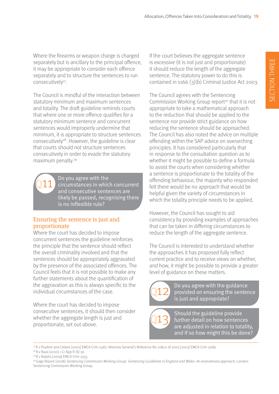Where the firearms or weapon charge is charged separately but is ancillary to the principal offence, it may be appropriate to consider each offence separately and to structure the sentences to run consecutively<sup>27</sup>.

The Council is mindful of the interaction between statutory minimum and maximum sentences and totality. The draft guideline reminds courts that where one or more offence qualifies for a statutory minimum sentence and concurrent sentences would improperly undermine that minimum, it is appropriate to structure sentences consecutively28. However, the guideline is clear that courts should not structure sentences consecutively in order to evade the statutory maximum penalty.<sup>29</sup>

 $Q11$  Do you agree with the<br> $Q11$  circumstances in which concurrent and consecutive sentences are likely be passed, recognising there is no inflexible rule?

#### Ensuring the sentence is just and proportionate

Where the court has decided to impose concurrent sentences the guideline reinforces the principle that the sentence should reflect the overall criminality involved and that the sentences should be appropriately aggravated by the presence of the associated offences. The Council feels that it is not possible to make any further statements about the quantification of the aggravation as this is always specific to the individual circumstances of the case.

Where the court has decided to impose consecutive sentences, it should then consider whether the aggregate length is just and proportionate, set out above.

If the court believes the aggregate sentence is excessive (it is not just and proportionate) it should reduce the length of the aggregate sentence. The statutory power to do this is contained in s166 (3)(b) Criminal Justice Act 2003.

The Council agrees with the Sentencing Commission Working Group report<sup>30</sup> that it is not appropriate to take a mathematical approach to the reduction that should be applied to the sentence nor provide strict guidance on how reducing the sentence should be approached. The Council has also noted the advice on multiple offending within the SAP advice on overarching principles. It has considered particularly that in response to the consultation question as to whether it might be possible to define a formula to assist the courts when considering whether a sentence is proportionate to the totality of the offending behaviour, the majority who responded felt there would be no approach that would be helpful given the variety of circumstances in which the totality principle needs to be applied.

However, the Council has sought to aid consistency by providing examples of approaches that can be taken in differing circumstances to reduce the length of the aggregate sentence.

The Council is interested to understand whether the approaches it has proposed fully reflect current practice and to receive views on whether, and how, it might be possible to provide a greater level of guidance on these matters.

 $Q12$  Do you agree with the guidance<br> $Q12$  provided on ensuring the sentence is just and appropriate?

 $(13)$  Should the guideline provide<br> $(13)$  further detail on how sentences are adjusted in relation to totality, and if so how might this be done?

```
27 R v Poulton and Celaire [2002] EWCA Crim 2487; Attorney General's Reference No 21&22 of 2003 [2003] EWCA Crim 3089
```
<sup>28</sup> R v Raza [2010] 1 Cr App R (S) 56

<sup>29</sup> R v Ralphs [2009] EWCA Crim 2555.

<sup>&</sup>lt;sup>30</sup> Gage Report (2008) Sentencing Commission Working Group: Sentencing Guidelines in England and Wales: An evolutionary approach, London: Sentencing Commission Working Group.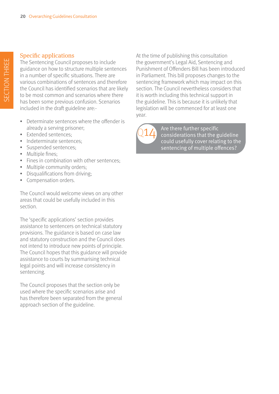#### Specific applications

The Sentencing Council proposes to include guidance on how to structure multiple sentences in a number of specific situations. There are various combinations of sentences and therefore the Council has identified scenarios that are likely to be most common and scenarios where there has been some previous confusion. Scenarios included in the draft guideline are:-

- Determinate sentences where the offender is already a serving prisoner;
- Extended sentences:
- Indeterminate sentences:
- Suspended sentences;
- Multiple fines;
- Fines in combination with other sentences:
- Multiple community orders;
- Disqualifications from driving;
- Compensation orders.

The Council would welcome views on any other areas that could be usefully included in this section.

The 'specific applications' section provides assistance to sentencers on technical statutory provisions. The guidance is based on case law and statutory construction and the Council does not intend to introduce new points of principle. The Council hopes that this guidance will provide assistance to courts by summarising technical legal points and will increase consistency in sentencing.

The Council proposes that the section only be used where the specific scenarios arise and has therefore been separated from the general approach section of the guideline.

At the time of publishing this consultation the government's Legal Aid, Sentencing and Punishment of Offenders Bill has been introduced in Parliament. This bill proposes changes to the sentencing framework which may impact on this section. The Council nevertheless considers that it is worth including this technical support in the guideline. This is because it is unlikely that legislation will be commenced for at least one year.



 $\overline{\text{Q14}}$  Are there further specific<br> $\overline{\text{Q14}}$  considerations that the guideline could usefully cover relating to the sentencing of multiple offences?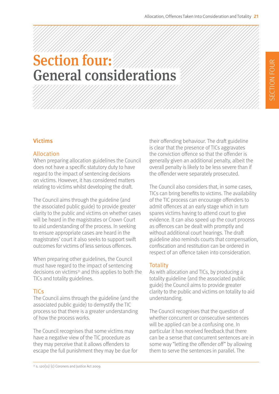## Section four: General considerations

#### Victims

#### Allocation

When preparing allocation guidelines the Council does not have a specific statutory duty to have regard to the impact of sentencing decisions on victims. However, it has considered matters relating to victims whilst developing the draft.

The Council aims through the guideline (and the associated public guide) to provide greater clarity to the public and victims on whether cases will be heard in the magistrates or Crown Court to aid understanding of the process. In seeking to ensure appropriate cases are heard in the magistrates' court it also seeks to support swift outcomes for victims of less serious offences.

When preparing other guidelines, the Council must have regard to the impact of sentencing decisions on victims<sup>31</sup> and this applies to both the TICs and totality guidelines.

#### TICs

The Council aims through the guideline (and the associated public guide) to demystify the TIC process so that there is a greater understanding of how the process works.

The Council recognises that some victims may have a negative view of the TIC procedure as they may perceive that it allows offenders to escape the full punishment they may be due for

their offending behaviour. The draft guideline is clear that the presence of TICs aggravates the conviction offence so that the offender is generally given an additional penalty, albeit the overall penalty is likely to be less severe than if the offender were separately prosecuted.

The Council also considers that, in some cases, TICs can bring benefits to victims. The availability of the TIC process can encourage offenders to admit offences at an early stage which in turn spares victims having to attend court to give evidence. It can also speed up the court process as offences can be dealt with promptly and without additional court hearings. The draft guideline also reminds courts that compensation, confiscation and restitution can be ordered in respect of an offence taken into consideration.

#### **Totality**

As with allocation and TICs, by producing a totality guideline (and the associated public guide) the Council aims to provide greater clarity to the public and victims on totality to aid understanding.

The Council recognises that the question of whether concurrent or consecutive sentences will be applied can be a confusing one. In particular it has received feedback that there can be a sense that concurrent sentences are in some way "letting the offender off" by allowing them to serve the sentences in parallel. The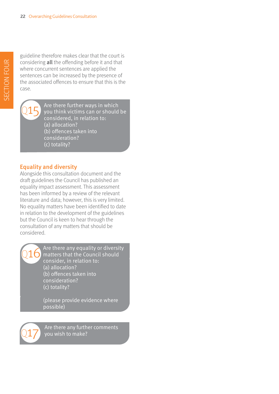guideline therefore makes clear that the court is considering all the offending before it and that where concurrent sentences are applied the sentences can be increased by the presence of the associated offences to ensure that this is the case.



 $\left( 15 \right)$  are there further ways in which you think victims can or should be considered, in relation to: (a) allocation? (b) offences taken into consideration? (c) totality?

#### Equality and diversity

Alongside this consultation document and the draft guidelines the Council has published an equality impact assessment. This assessment has been informed by a review of the relevant literature and data; however, this is very limited. No equality matters have been identified to date in relation to the development of the guidelines but the Council is keen to hear through the consultation of any matters that should be considered.



 $Q16$  Are there any equality or diversity matters that the Council should consider, in relation to: (a) allocation? (b) offences taken into consideration? (c) totality?

> (please provide evidence where possible)

> Are there any further comments you wish to make?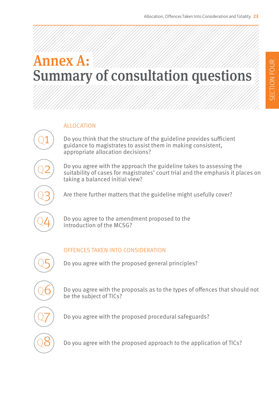## Annex A: Summary of consultation questions

#### ALLOCATION

Do you think that the structure of the guideline provides sufficient guidance to magistrates to assist them in making consistent, appropriate allocation decisions?

 $\left( \mathrm{Q2}\right)$  Do you agree with the approach the guideline takes to assessing the suitability of cases for magistrates' court trial and the emphasis it places on taking a balanced initial view?

Are there further matters that the guideline might usefully cover?

Do you agree to the amendment proposed to the introduction of the MCSG?

#### OFFENCES TAKEN INTO CONSIDERATION

Do you agree with the proposed general principles?

Do you agree with the proposals as to the types of offences that should not be the subject of TICs?

Do you agree with the proposed procedural safeguards?

Do you agree with the proposed approach to the application of TICs?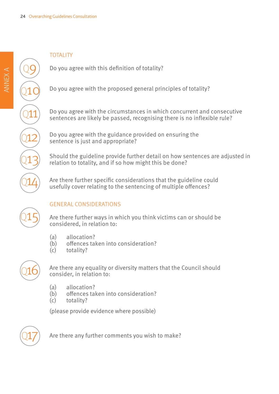#### TOTALITY

Do you agree with this definition of totality?

Do you agree with the proposed general principles of totality?

Do you agree with the circumstances in which concurrent and consecutive sentences are likely be passed, recognising there is no inflexible rule?

Do you agree with the guidance provided on ensuring the sentence is just and appropriate?

Should the guideline provide further detail on how sentences are adjusted in relation to totality, and if so how might this be done?

Are there further specific considerations that the guideline could usefully cover relating to the sentencing of multiple offences?

#### GENERAL CONSIDERATIONS

Are there further ways in which you think victims can or should be considered, in relation to:

- (a) allocation?
- (b) offences taken into consideration?
- (c) totality?



Are there any equality or diversity matters that the Council should consider, in relation to:

- (a) allocation?
- (b) offences taken into consideration?<br>(c) totality?
- totality?

(please provide evidence where possible)



Are there any further comments you wish to make?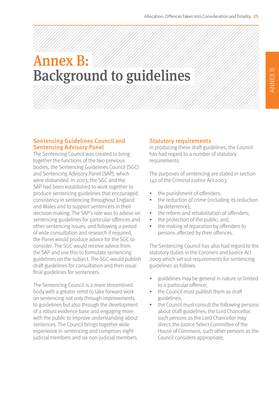## Annex B: Background to guidelines

#### Sentencing Guidelines Council and Sentencing Advisory Panel

The Sentencing Council was created to bring together the functions of the two previous bodies, the Sentencing Guidelines Council (SGC) and Sentencing Advisory Panel (SAP), which were disbanded. In 2003, the SGC and the SAP had been established to work together to produce sentencing guidelines that encouraged consistency in sentencing throughout England and Wales and to support sentencers in their decision-making. The SAP's role was to advise on sentencing guidelines for particular offences and other sentencing issues, and following a period of wide consultation and research if required, the Panel would produce advice for the SGC to consider. The SGC would receive advice from the SAP and use this to formulate sentencing guidelines on the subject. The SGC would publish draft guidelines for consultation and then issue final guidelines for sentencers.

The Sentencing Council is a more streamlined body with a greater remit to take forward work on sentencing not only through improvements to guidelines but also through the development of a robust evidence base and engaging more with the public to improve understanding about sentences. The Council brings together wide experience in sentencing and comprises eight judicial members and six non-judicial members.

#### Statutory requirements

In producing these draft guidelines, the Council has had regard to a number of statutory requirements.

The purposes of sentencing are stated in section 142 of the Criminal Justice Act 2003:

- the punishment of offenders;
- the reduction of crime (including its reduction by deterrence);
- the reform and rehabilitation of offenders:
- the protection of the public; and,
- the making of reparation by offenders to persons affected by their offences.

The Sentencing Council has also had regard to the statutory duties in the Coroners and Justice Act 2009 which set out requirements for sentencing guidelines as follows:

- guidelines may be general in nature or limited to a particular offence;
- the Council must publish them as draft guidelines;
- the Council must consult the following persons about draft guidelines: the Lord Chancellor, such persons as the Lord Chancellor may direct, the Justice Select Committee of the House of Commons, such other persons as the Council considers appropriate;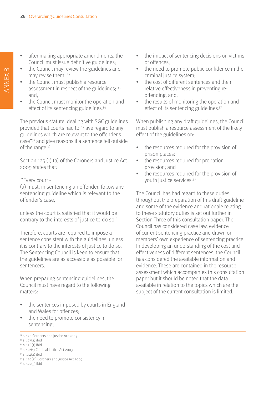- after making appropriate amendments, the Council must issue definitive guidelines;
- the Council may review the guidelines and may revise them; <sup>32</sup>
- the Council must publish a resource assessment in respect of the guidelines; 33 and,
- the Council must monitor the operation and effect of its sentencing guidelines.<sup>34</sup>

The previous statute, dealing with SGC guidelines provided that courts had to "have regard to any guidelines which are relevant to the offender's case"35 and give reasons if a sentence fell outside of the range.<sup>36</sup>

Section 125 (1) (a) of the Coroners and Justice Act 2009 states that:

#### "Every court -

(a) must, in sentencing an offender, follow any sentencing guideline which is relevant to the offender's case,

unless the court is satisfied that it would be contrary to the interests of justice to do so."

Therefore, courts are required to impose a sentence consistent with the guidelines, unless it is contrary to the interests of justice to do so. The Sentencing Council is keen to ensure that the guidelines are as accessible as possible for sentencers.

When preparing sentencing guidelines, the Council must have regard to the following matters:

- the sentences imposed by courts in England and Wales for offences;
- the need to promote consistency in sentencing;

- 35 s. 172(1) Criminal Justice Act 2003
- 36 s. 174(2) ibid
- <sup>37</sup> s. 120(11) Coroners and Justice Act 2009
- 38 s. 127(3) ibid
- the impact of sentencing decisions on victims of offences;
- the need to promote public confidence in the criminal justice system;
- the cost of different sentences and their relative effectiveness in preventing reoffending; and,
- the results of monitoring the operation and effect of its sentencing guidelines.<sup>37</sup>

When publishing any draft guidelines, the Council must publish a resource assessment of the likely effect of the guidelines on:

- the resources required for the provision of prison places;
- the resources required for probation provision; and
- the resources required for the provision of youth justice services.38

The Council has had regard to these duties throughout the preparation of this draft guideline and some of the evidence and rationale relating to these statutory duties is set out further in Section Three of this consultation paper. The Council has considered case law, evidence of current sentencing practice and drawn on members' own experience of sentencing practice. In developing an understanding of the cost and effectiveness of different sentences, the Council has considered the available information and evidence. These are contained in the resource assessment which accompanies this consultation paper but it should be noted that the data available in relation to the topics which are the subject of the current consultation is limited.

<sup>32</sup> s. 120 Coroners and Justice Act 2009

<sup>33</sup> s. 127(2) ibid

<sup>34</sup> s. 128(1) ibid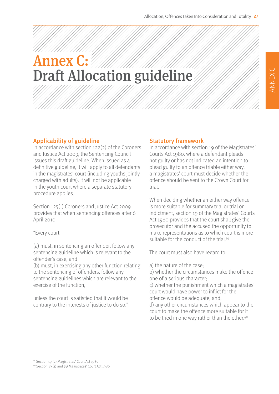## Annex C: Draft Allocation guideline

#### Applicability of guideline

In accordance with section 122(2) of the Coroners and Justice Act 2009, the Sentencing Council issues this draft guideline. When issued as a definitive guideline, it will apply to all defendants in the magistrates' court (including youths jointly charged with adults). It will not be applicable in the youth court where a separate statutory procedure applies.

Section 125(1) Coroners and Justice Act 2009 provides that when sentencing offences after 6 April 2010:

"Every court -

(a) must, in sentencing an offender, follow any sentencing guideline which is relevant to the offender's case, and

(b) must, in exercising any other function relating to the sentencing of offenders, follow any sentencing guidelines which are relevant to the exercise of the function

unless the court is satisfied that it would be contrary to the interests of justice to do so."

#### Statutory framework

In accordance with section 19 of the Magistrates' Courts Act 1980, where a defendant pleads not guilty or has not indicated an intention to plead guilty to an offence triable either way, a magistrates' court must decide whether the offence should be sent to the Crown Court for trial.

When deciding whether an either way offence is more suitable for summary trial or trial on indictment, section 19 of the Magistrates' Courts Act 1980 provides that the court shall give the prosecutor and the accused the opportunity to make representations as to which court is more suitable for the conduct of the trial<sup>39</sup>

The court must also have regard to:

a) the nature of the case;

b) whether the circumstances make the offence one of a serious character;

c) whether the punishment which a magistrates' court would have power to inflict for the offence would be adequate; and,

d) any other circumstances which appear to the court to make the offence more suitable for it to be tried in one way rather than the other.<sup>40</sup>

39 Section 19 (2) Magistrates' Court Act 1980

<sup>40</sup> Section 19 (1) and (3) Magistrates' Court Act 1980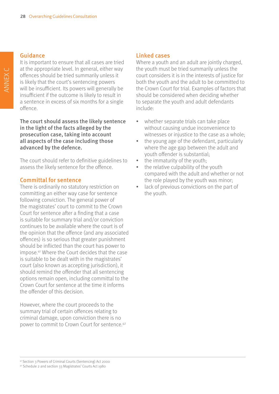#### Guidance

It is important to ensure that all cases are tried at the appropriate level. In general, either way offences should be tried summarily unless it is likely that the court's sentencing powers will be insufficient. Its powers will generally be insufficient if the outcome is likely to result in a sentence in excess of six months for a single offence.

The court should assess the likely sentence in the light of the facts alleged by the prosecution case, taking into account all aspects of the case including those advanced by the defence.

The court should refer to definitive guidelines to assess the likely sentence for the offence.

#### Committal for sentence

There is ordinarily no statutory restriction on committing an either way case for sentence following conviction. The general power of the magistrates' court to commit to the Crown Court for sentence after a finding that a case is suitable for summary trial and/or conviction continues to be available where the court is of the opinion that the offence (and any associated offences) is so serious that greater punishment should be inflicted than the court has power to impose.41 Where the Court decides that the case is suitable to be dealt with in the magistrates' court (also known as accepting jurisdiction), it should remind the offender that all sentencing options remain open, including committal to the Crown Court for sentence at the time it informs the offender of this decision.

However, where the court proceeds to the summary trial of certain offences relating to criminal damage, upon conviction there is no power to commit to Crown Court for sentence.42

#### Linked cases

Where a youth and an adult are jointly charged, the youth must be tried summarily unless the court considers it is in the interests of justice for both the youth and the adult to be committed to the Crown Court for trial. Examples of factors that should be considered when deciding whether to separate the youth and adult defendants include:

- whether separate trials can take place without causing undue inconvenience to witnesses or injustice to the case as a whole;
- the young age of the defendant, particularly where the age gap between the adult and youth offender is substantial;
- the immaturity of the youth:
- the relative culpability of the youth compared with the adult and whether or not the role played by the youth was minor;
- lack of previous convictions on the part of the youth.

<sup>41</sup> Section 3 Powers of Criminal Courts (Sentencing) Act 2000

<sup>42</sup> Schedule 2 and section 33 Magistrates' Courts Act 1980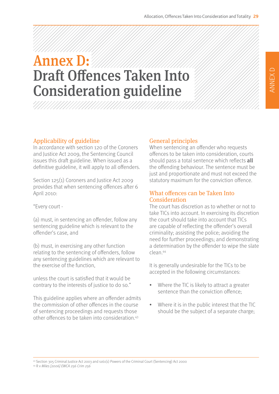## Annex D: Draft Offences Taken Into Consideration guideline

#### Applicability of guideline

In accordance with section 120 of the Coroners and Justice Act 2009, the Sentencing Council issues this draft guideline. When issued as a definitive guideline, it will apply to all offenders.

Section 125(1) Coroners and Justice Act 2009 provides that when sentencing offences after 6 April 2010:

"Every court -

(a) must, in sentencing an offender, follow any sentencing guideline which is relevant to the offender's case, and

(b) must, in exercising any other function relating to the sentencing of offenders, follow any sentencing guidelines which are relevant to the exercise of the function,

unless the court is satisfied that it would be contrary to the interests of justice to do so."

This guideline applies where an offender admits the commission of other offences in the course of sentencing proceedings and requests those other offences to be taken into consideration.43

#### General principles

When sentencing an offender who requests offences to be taken into consideration, courts should pass a total sentence which reflects all the offending behaviour. The sentence must be just and proportionate and must not exceed the statutory maximum for the conviction offence.

#### What offences can be Taken Into **Consideration**

The court has discretion as to whether or not to take TICs into account. In exercising its discretion the court should take into account that TICs are capable of reflecting the offender's overall criminality; assisting the police; avoiding the need for further proceedings; and demonstrating a determination by the offender to wipe the slate clean.44

It is generally undesirable for the TICs to be accepted in the following circumstances:

- Where the TIC is likely to attract a greater sentence than the conviction offence;
- Where it is in the public interest that the TIC should be the subject of a separate charge;

43 Section 305 Criminal Justice Act 2003 and s161(1) Powers of the Criminal Court (Sentencing) Act 2000 44 R v Miles [2006] EWCA 256 Crim 256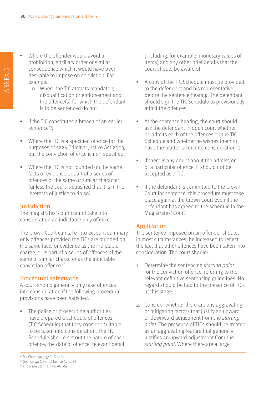- Where the offender would avoid a prohibition, ancillary order or similar consequence which it would have been desirable to impose on conviction. For example:
	- 0 Where the TIC attracts mandatory disqualification or endorsement and the offence(s) for which the defendant is to be sentenced do not
- If the TIC constitutes a breach of an earlier sentence<sup>45</sup>:
- Where the TIC is a specified offence for the purposes of s224 Criminal Justice Act 2003, but the conviction offence is non-specified;
- Where the TIC is not founded on the same facts or evidence or part of a series of offences of the same or similar character (unless the court is satisfied that it is in the interests of justice to do so).

#### **Iurisdiction**

The magistrates' court cannot take into consideration an indictable only offence.

The Crown Court can take into account summary only offences provided the TICs are founded on the same facts or evidence as the indictable charge, or is part of a series of offences of the same or similar character as the indictable conviction offence 46

#### Procedural safeguards

A court should generally only take offences into consideration if the following procedural provisions have been satisfied:

The police or prosecuting authorities have prepared a schedule of offences (TIC Schedule) that they consider suitable to be taken into consideration. The TIC Schedule should set out the nature of each offence, the date of offence, relevant detail (including, for example, monetary values of items) and any other brief details that the court should be aware of;

- A copy of the TIC Schedule must be provided to the defendant and his representative before the sentence hearing. The defendant should sign the TIC Schedule to provisionally admit the offences;
- At the sentence hearing, the court should ask the defendant in open court whether he admits each of the offences on the TIC Schedule and whether he wishes them to have the matter taken into consideration<sup>47</sup>;
- If there is any doubt about the admission of a particular offence, it should not be accepted as a TIC;
- If the defendant is committed to the Crown Court for sentence, this procedure must take place again at the Crown Court even if the defendant has agreed to the schedule in the Magistrates' Court.

#### Application

The sentence imposed on an offender should, in most circumstances, be increased to reflect the fact that other offences have been taken into consideration. The court should:

- 1. Determine the sentencing starting point for the conviction offence, referring to the relevant definitive sentencing guidelines. No regard should be had to the presence of TICs at this stage.
- 2. Consider whether there are any aggravating or mitigating factors that justify an upward or downward adjustment from the starting point. The presence of TICs should be treated as an aggravating feature that generally justifies an upward adjustment from the starting point. Where there are a large

<sup>45</sup> R v Webb 1953 37 Cr App 82

<sup>46</sup> Section 40 Criminal Justice Act 1988

<sup>47</sup> Anderson v DPP [1978] AC 964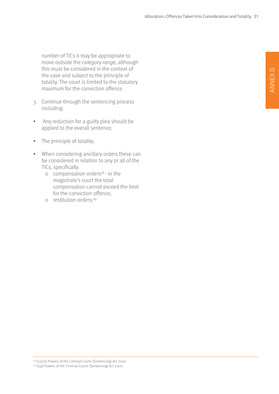number of TICs it may be appropriate to move outside the category range, although this must be considered in the context of the case and subject to the principle of totality. The court is limited to the statutory maximum for the conviction offence.

- 3. Continue through the sentencing process including:
- Any reduction for a guilty plea should be applied to the overall sentence;
- The principle of totality;
- When considering ancillary orders these can be considered in relation to any or all of the TICs, specifically:
	- 0 compensation orders48 in the magistrate's court the total compensation cannot exceed the limit for the conviction offence;
	- o restitution orders;<sup>49</sup>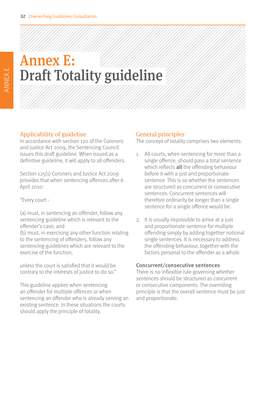## Annex E: Draft Totality guideline

#### Applicability of guideline

In accordance with section 120 of the Coroners and Justice Act 2009, the Sentencing Council issues this draft guideline. When issued as a definitive guideline, it will apply to all offenders.

Section 125(1) Coroners and Justice Act 2009 provides that when sentencing offences after 6 April 2010:

"Every court -

(a) must, in sentencing an offender, follow any sentencing guideline which is relevant to the offender's case, and

(b) must, in exercising any other function relating to the sentencing of offenders, follow any sentencing guidelines which are relevant to the exercise of the function,

unless the court is satisfied that it would be contrary to the interests of justice to do so."

This guideline applies when sentencing an offender for multiple offences or when sentencing an offender who is already serving an existing sentence. In these situations the courts should apply the principle of totality.

#### General principles

The concept of totality comprises two elements:

- 1. All courts, when sentencing for more than a single offence, should pass a total sentence which reflects **all** the offending behaviour before it with a just and proportionate sentence. This is so whether the sentences are structured as concurrent or consecutive sentences. Concurrent sentences will therefore ordinarily be longer than a single sentence for a single offence would be.
- 2. It is usually impossible to arrive at a just and proportionate sentence for multiple offending simply by adding together notional single sentences. It is necessary to address the offending behaviour, together with the factors personal to the offender as a whole.

#### Concurrent/consecutive sentences

There is no inflexible rule governing whether sentences should be structured as concurrent or consecutive components. The overriding principle is that the overall sentence must be just and proportionate.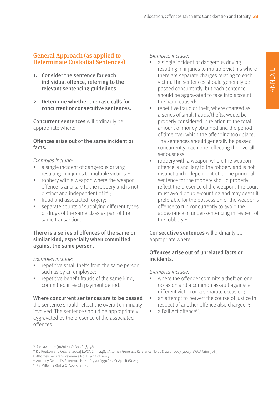#### General Approach (as applied to Determinate Custodial Sentences)

- 1. Consider the sentence for each individual offence, referring to the relevant sentencing guidelines.
- 2. Determine whether the case calls for concurrent or consecutive sentences.

Concurrent sentences will ordinarily be appropriate where:

#### Offences arise out of the same incident or facts.

#### Examples include:

- a single incident of dangerous driving resulting in injuries to multiple victims<sup>50</sup>;
- robbery with a weapon where the weapon offence is ancillary to the robbery and is not distinct and independent of it<sup>51</sup>;
- fraud and associated forgery;
- separate counts of supplying different types of drugs of the same class as part of the same transaction.

#### There is a series of offences of the same or similar kind, especially when committed against the same person.

#### Examples include:

- • repetitive small thefts from the same person, such as by an employee;
- repetitive benefit frauds of the same kind. committed in each payment period.

#### Where concurrent sentences are to be passed

the sentence should reflect the overall criminality involved. The sentence should be appropriately aggravated by the presence of the associated offences.

#### Examples include:

- a single incident of dangerous driving resulting in injuries to multiple victims where there are separate charges relating to each victim. The sentences should generally be passed concurrently, but each sentence should be aggravated to take into account the harm caused;
- repetitive fraud or theft, where charged as a series of small frauds/thefts, would be properly considered in relation to the total amount of money obtained and the period of time over which the offending took place. The sentences should generally be passed concurrently, each one reflecting the overall seriousness;
- robbery with a weapon where the weapon offence is ancillary to the robbery and is not distinct and independent of it. The principal sentence for the robbery should properly reflect the presence of the weapon. The Court must avoid double-counting and may deem it preferable for the possession of the weapon's offence to run concurrently to avoid the appearance of under-sentencing in respect of the robbery.52

Consecutive sentences will ordinarily be appropriate where:

#### Offences arise out of unrelated facts or incidents.

#### Examples include:

- where the offender commits a theft on one occasion and a common assault against a different victim on a separate occasion;
- an attempt to pervert the course of justice in respect of another offence also charged<sup>53</sup>;
- a Bail Act offence<sup>54</sup>:

<sup>50</sup> R v Lawrence (1989) 11 Cr App R (S) 580

<sup>51</sup> R v Poulton and Celaire [2002] EWCA Crim 2487; Attorney General's Reference No 21 & 22 of 2003 [2003] EWCA Crim 3089

<sup>52</sup> Attorney General's Reference No 21 & 22 of 2003

<sup>53</sup> Attorney General's Reference No 1 of 1990 (1990) 12 Cr App R (S) 245

<sup>54</sup> R v Millen (1980) 2 Cr App R (S) 357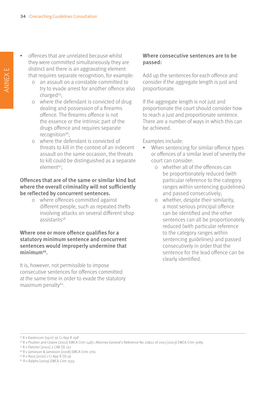- offences that are unrelated because whilst they were committed simultaneously they are distinct and there is an aggravating element that requires separate recognition, for example:
	- 0 an assault on a constable committed to try to evade arrest for another offence also charged<sup>55</sup>:
	- 0 where the defendant is convicted of drug dealing and possession of a firearms offence. The firearms offence is not the essence or the intrinsic part of the drugs offence and requires separate recognition<sup>56</sup>:
	- 0 where the defendant is convicted of threats to kill in the context of an indecent assault on the same occasion, the threats to kill could be distinguished as a separate element57;

#### Offences that are of the same or similar kind but where the overall criminality will not sufficiently be reflected by concurrent sentences.

0 where offences committed against different people, such as repeated thefts involving attacks on several different shop assistants58

#### Where one or more offence qualifies for a statutory minimum sentence and concurrent sentences would improperly undermine that minimum59.

It is, however, not permissible to impose consecutive sentences for offences committed at the same time in order to evade the statutory  $maximum$  penalty<sup>60</sup>.

#### Where consecutive sentences are to be passed:

Add up the sentences for each offence and consider if the aggregate length is just and proportionate.

If the aggregate length is not just and proportionate the court should consider how to reach a just and proportionate sentence. There are a number of ways in which this can be achieved.

Examples include:

- When sentencing for similar offence types or offences of a similar level of severity the court can consider:
	- 0 whether all of the offences can be proportionately reduced (with particular reference to the category ranges within sentencing guidelines) and passed consecutively;
	- 0 whether, despite their similarity, a most serious principal offence can be identified and the other sentences can all be proportionately reduced (with particular reference to the category ranges within sentencing guidelines) and passed consecutively in order that the sentence for the lead offence can be clearly identified.

<sup>55</sup> R v Kastercum (1972) 56 Cr App R 298

<sup>56</sup> R v Poulton and Celaire [2002] EWCA Crim 2487; Attorney General's Reference No 21&22 of 2003 [2003] EWCA Crim 3089

<sup>57</sup> R v Fletcher [2002] 2 CAR (S) 127

<sup>58</sup> R v Jamieson & Jamieson [2008] EWCA Crim 2761

<sup>59</sup> R v Raza [2010] 1 Cr App R (S) 56

<sup>60</sup> R v Ralphs [2009] EWCA Crim 2555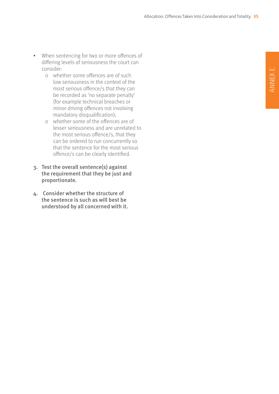- • When sentencing for two or more offences of differing levels of seriousness the court can consider:
	- 0 whether some offences are of such low seriousness in the context of the most serious offence/s that they can be recorded as 'no separate penalty' (for example technical breaches or minor driving offences not involving mandatory disqualification);
	- 0 whether some of the offences are of lesser seriousness and are unrelated to the most serious offence/s, that they can be ordered to run concurrently so that the sentence for the most serious offence/s can be clearly identified.
- 3. Test the overall sentence(s) against the requirement that they be just and proportionate.
- 4. Consider whether the structure of the sentence is such as will best be understood by all concerned with it.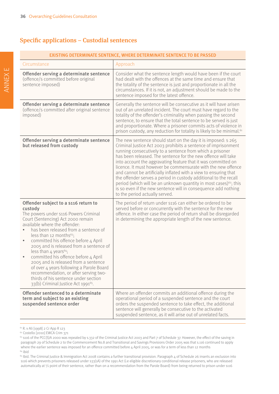#### Specific applications – Custodial sentences

#### EXISTING DETERMINATE SENTENCE, WHERE DETERMINATE SENTENCE TO BE PASSED

| Circumstance                                                                                                                                                                                                                                                                                                                                                                                                                                                                                                                                                                                                                                                     | Approach                                                                                                                                                                                                                                                                                                                                                                                                                                                                                                                                                                                                                                                                                                                     |
|------------------------------------------------------------------------------------------------------------------------------------------------------------------------------------------------------------------------------------------------------------------------------------------------------------------------------------------------------------------------------------------------------------------------------------------------------------------------------------------------------------------------------------------------------------------------------------------------------------------------------------------------------------------|------------------------------------------------------------------------------------------------------------------------------------------------------------------------------------------------------------------------------------------------------------------------------------------------------------------------------------------------------------------------------------------------------------------------------------------------------------------------------------------------------------------------------------------------------------------------------------------------------------------------------------------------------------------------------------------------------------------------------|
| Offender serving a determinate sentence<br>(offence/s committed before original<br>sentence imposed)                                                                                                                                                                                                                                                                                                                                                                                                                                                                                                                                                             | Consider what the sentence length would have been if the court<br>had dealt with the offences at the same time and ensure that<br>the totality of the sentence is just and proportionate in all the<br>circumstances. If it is not, an adjustment should be made to the<br>sentence imposed for the latest offence.                                                                                                                                                                                                                                                                                                                                                                                                          |
| Offender serving a determinate sentence<br>(offence/s committed after original sentence<br>imposed)                                                                                                                                                                                                                                                                                                                                                                                                                                                                                                                                                              | Generally the sentence will be consecutive as it will have arisen<br>out of an unrelated incident. The court must have regard to the<br>totality of the offender's criminality when passing the second<br>sentence, to ensure that the total sentence to be served is just<br>and proportionate. Where a prisoner commits acts of violence in<br>prison custody, any reduction for totality is likely to be minimal. <sup>61</sup>                                                                                                                                                                                                                                                                                           |
| Offender serving a determinate sentence<br>but released from custody                                                                                                                                                                                                                                                                                                                                                                                                                                                                                                                                                                                             | The new sentence should start on the day it is imposed: s 265<br>Criminal Justice Act 2003 prohibits a sentence of imprisonment<br>running consecutively to a sentence from which a prisoner<br>has been released. The sentence for the new offence will take<br>into account the aggravating feature that it was committed on<br>licence. It must however be commensurate with the new offence<br>and cannot be artificially inflated with a view to ensuring that<br>the offender serves a period in custody additional to the recall<br>period (which will be an unknown quantity in most cases) <sup>62</sup> ; this<br>is so even if the new sentence will in consequence add nothing<br>to the period actually served. |
| Offender subject to a s116 return to<br>custody<br>The powers under s116 Powers Criminal<br>Court (Sentencing) Act 2000 remain<br>available where the offender:<br>has been released from a sentence of<br>less than 12 months <sup>63</sup> ;<br>committed his offence before 4 April<br>$\bullet$<br>2005 and is released from a sentence of<br>less than 4 years <sup>64</sup> ;<br>committed his offence before 4 April<br>$\bullet$<br>2005 and is released from a sentence<br>of over 4 years following a Parole Board<br>recommendation, or after serving two-<br>thirds of his sentence under section<br>33(b) Criminal Justice Act 1991 <sup>65</sup> . | The period of return under s116 can either be ordered to be<br>served before or concurrently with the sentence for the new<br>offence. In either case the period of return shall be disregarded<br>in determining the appropriate length of the new sentence.                                                                                                                                                                                                                                                                                                                                                                                                                                                                |
| Offender sentenced to a determinate<br>term and subject to an existing<br>suspended sentence order                                                                                                                                                                                                                                                                                                                                                                                                                                                                                                                                                               | Where an offender commits an additional offence during the<br>operational period of a suspended sentence and the court<br>orders the suspended sentence to take effect, the additional<br>sentence will generally be consecutive to the activated<br>suspended sentence, as it will arise out of unrelated facts.                                                                                                                                                                                                                                                                                                                                                                                                            |

<sup>61</sup> R. v Ali [1998] 2 Cr App R 123

<sup>62</sup> Costello [2010] EWCA Crim 371

<sup>&</sup>lt;sup>63</sup> s116 of the PCC(S)A 2000 was repealed by s.332 of the Criminal Justice Act 2003 and Part 7 of Schedule 37. However, the effect of the saving in paragraph 29 of Schedule 2 to the Commencement No.8 and Transitional and Savings Provisions Order 2005 was that s.116 continued to apply where the earlier sentence was imposed for an offence committed before 4 April 2005, or was for a term of less than 12 months 64 ibid

<sup>&</sup>lt;sup>65</sup> Ibid. The Criminal Justice & Immigration Act 2008 contains a further transitional provision. Paragraph 4 of Schedule 26 inserts an exclusion into s116 which prevents prisoners released under s33(1A) of the 1991 Act (i.e eligible discretionary conditional release prisoners, who are released automatically at ½ point of their sentence, rather than on a recommendation from the Parole Board) from being returned to prison under s116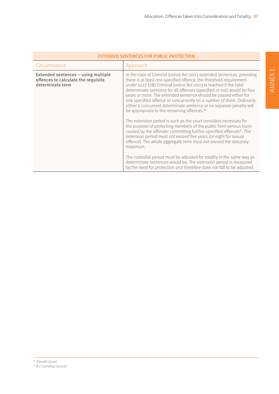| <b>EXTENDED SENTENCES FOR PUBLIC PROTECTION</b>                                                |                                                                                                                                                                                                                                                                                                                                                                                                                                                                                                                                                                             |
|------------------------------------------------------------------------------------------------|-----------------------------------------------------------------------------------------------------------------------------------------------------------------------------------------------------------------------------------------------------------------------------------------------------------------------------------------------------------------------------------------------------------------------------------------------------------------------------------------------------------------------------------------------------------------------------|
| Circumstance                                                                                   | Approach                                                                                                                                                                                                                                                                                                                                                                                                                                                                                                                                                                    |
| Extended sentences - using multiple<br>offences to calculate the requisite<br>determinate term | In the case of Criminal Justice Act 2003 extended sentences, providing<br>there is at least one specified offence, the threshold requirement<br>under s227 (2B) Criminal Justice Act 2003 is reached if the total<br>determinate sentence for all offences (specified or not) would be four<br>years or more. The extended sentence should be passed either for<br>one specified offence or concurrently on a number of them. Ordinarily<br>either a concurrent determinate sentence or no separate penalty will<br>be appropriate to the remaining offences. <sup>66</sup> |
|                                                                                                | The extension period is such as the court considers necessary for<br>the purpose of protecting members of the public from serious harm<br>caused by the offender committing further specified offences <sup>67</sup> . The<br>extension period must not exceed five years (or eight for sexual<br>offence). The whole aggregate term must not exceed the statutory<br>maximum.                                                                                                                                                                                              |
|                                                                                                | The custodial period must be adjusted for totality in the same way as<br>determinate sentences would be. The extension period is measured<br>by the need for protection and therefore does not fall to be adjusted.                                                                                                                                                                                                                                                                                                                                                         |

66 Pinnell (2010) 67 R v Cornelius (2002)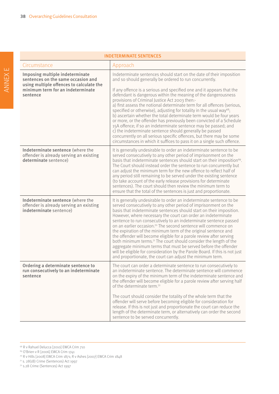| <b>INDETERMINATE SENTENCES</b>                                                                                                                                     |                                                                                                                                                                                                                                                                                                                                                                                                                                                                                                                                                                                                                                                                                                                                                                                                                                                                                                                               |
|--------------------------------------------------------------------------------------------------------------------------------------------------------------------|-------------------------------------------------------------------------------------------------------------------------------------------------------------------------------------------------------------------------------------------------------------------------------------------------------------------------------------------------------------------------------------------------------------------------------------------------------------------------------------------------------------------------------------------------------------------------------------------------------------------------------------------------------------------------------------------------------------------------------------------------------------------------------------------------------------------------------------------------------------------------------------------------------------------------------|
| Circumstance                                                                                                                                                       | Approach                                                                                                                                                                                                                                                                                                                                                                                                                                                                                                                                                                                                                                                                                                                                                                                                                                                                                                                      |
| Imposing multiple indeterminate<br>sentences on the same occasion and<br>using multiple offences to calculate the<br>minimum term for an indeterminate<br>sentence | Indeterminate sentences should start on the date of their imposition<br>and so should generally be ordered to run concurrently.<br>If any offence is a serious and specified one and it appears that the<br>defendant is dangerous within the meaning of the dangerousness<br>provisions of Criminal Justice Act 2003 then:-<br>a) first assess the notional determinate term for all offences (serious,<br>specified or otherwise), adjusting for totality in the usual way <sup>68</sup> ;<br>b) ascertain whether the total determinate term would be four years<br>or more, or the offender has previously been convicted of a Schedule<br>15A offence; if so an indeterminate sentence may be passed; and<br>c) the indeterminate sentence should generally be passed<br>concurrently on all serious specific offences, but there may be some<br>circumstances in which it suffices to pass it on a single such offence. |
| Indeterminate sentence (where the<br>offender is already serving an existing<br>determinate sentence)                                                              | It is generally undesirable to order an indeterminate sentence to be<br>served consecutively to any other period of imprisonment on the<br>basis that indeterminate sentences should start on their imposition <sup>69</sup> .<br>The Court should instead order the sentence to run concurrently but<br>can adjust the minimum term for the new offence to reflect half of<br>any period still remaining to be served under the existing sentence<br>(to take account of the early release provisions for determinate<br>sentences). The court should then review the minimum term to<br>ensure that the total of the sentences is just and proportionate.                                                                                                                                                                                                                                                                   |
| Indeterminate sentence (where the<br>offender is already serving an existing<br>indeterminate sentence)                                                            | It is generally undesirable to order an indeterminate sentence to be<br>served consecutively to any other period of imprisonment on the<br>basis that indeterminate sentences should start on their imposition.<br>However, where necessary the court can order an indeterminate<br>sentence to run consecutively to an indeterminate sentence passed<br>on an earlier occasion. <sup>70</sup> The second sentence will commence on<br>the expiration of the minimum term of the original sentence and<br>the offender will become eligible for a parole review after serving<br>both minimum terms. <sup>71</sup> The court should consider the length of the<br>aggregate minimum terms that must be served before the offender<br>will be eligible for consideration by the Parole Board. If this is not just<br>and proportionate, the court can adjust the minimum term.                                                 |
| Ordering a determinate sentence to<br>run consecutively to an indeterminate<br>sentence                                                                            | The court can order a determinate sentence to run consecutively to<br>an indeterminate sentence. The determinate sentence will commence<br>on the expiry of the minimum term of the indeterminate sentence and<br>the offender will become eligible for a parole review after serving half<br>of the determinate term. <sup>72</sup><br>The court should consider the totality of the whole term that the<br>offender will serve before becoming eligible for consideration for<br>release. If this is not just and proportionate the court can reduce the<br>length of the determinate term, or alternatively can order the second<br>sentence to be served concurrently.                                                                                                                                                                                                                                                    |

68 R v Rahuel Delucca [2010] EWCA Crim 710

69 O'Brien v R [2006] EWCA Crim 1741

- 71 s. 28(1B) Crime (Sentences) Act 1997
- 72 s.28 Crime (Sentences) Act 1997

<sup>70</sup> R v Hills [2008] EWCA Crim 1871; R v Ashes [2007] EWCA Crim 1848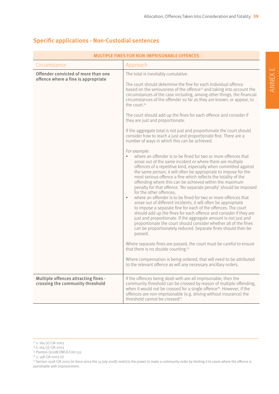| MULTIPLE FINES FOR NON-IMPRISONABLE OFFENCES                               |                                                                                                                                                                                                                                                                                                                                                                                                                                                                                                                                                                                                                                                                                                                                                                                                                                                                                                                                                                                                                                                                                                                                                                                                                                                                                                                                                                                                                                                                                                                                                                                                                                                                                                                                                                                                                                                                                                                                                   |
|----------------------------------------------------------------------------|---------------------------------------------------------------------------------------------------------------------------------------------------------------------------------------------------------------------------------------------------------------------------------------------------------------------------------------------------------------------------------------------------------------------------------------------------------------------------------------------------------------------------------------------------------------------------------------------------------------------------------------------------------------------------------------------------------------------------------------------------------------------------------------------------------------------------------------------------------------------------------------------------------------------------------------------------------------------------------------------------------------------------------------------------------------------------------------------------------------------------------------------------------------------------------------------------------------------------------------------------------------------------------------------------------------------------------------------------------------------------------------------------------------------------------------------------------------------------------------------------------------------------------------------------------------------------------------------------------------------------------------------------------------------------------------------------------------------------------------------------------------------------------------------------------------------------------------------------------------------------------------------------------------------------------------------------|
| Circumstance                                                               | Approach                                                                                                                                                                                                                                                                                                                                                                                                                                                                                                                                                                                                                                                                                                                                                                                                                                                                                                                                                                                                                                                                                                                                                                                                                                                                                                                                                                                                                                                                                                                                                                                                                                                                                                                                                                                                                                                                                                                                          |
| Offender convicted of more than one<br>offence where a fine is appropriate | The total is inevitably cumulative.<br>The court should determine the fine for each individual offence<br>based on the seriousness of the offence <sup>73</sup> and taking into account the<br>circumstances of the case including, among other things, the financial<br>circumstances of the offender so far as they are known, or appear, to<br>the court.74<br>The court should add up the fines for each offence and consider if<br>they are just and proportionate.<br>If the aggregate total is not just and proportionate the court should<br>consider how to reach a just and proportionate fine. There are a<br>number of ways in which this can be achieved.<br>For example:<br>where an offender is to be fined for two or more offences that<br>arose out of the same incident or where there are multiple<br>offences of a repetitive kind, especially when committed against<br>the same person, it will often be appropriate to impose for the<br>most serious offence a fine which reflects the totality of the<br>offending where this can be achieved within the maximum<br>penalty for that offence. 'No separate penalty' should be imposed<br>for the other offences;<br>where an offender is to be fined for two or more offences that<br>arose out of different incidents, it will often be appropriate<br>to impose a separate fine for each of the offences. The court<br>should add up the fines for each offence and consider if they are<br>just and proportionate. If the aggregate amount is not just and<br>proportionate the court should consider whether all of the fines<br>can be proportionately reduced. Separate fines should then be<br>passed.<br>Where separate fines are passed, the court must be careful to ensure<br>that there is no double counting.75<br>Where compensation is being ordered, that will need to be attributed<br>to the relevant offence as will any necessary ancillary orders. |
| Multiple offences attracting fines -<br>crossing the community threshold   | If the offences being dealt with are all imprisonable, then the<br>community threshold can be crossed by reason of multiple offending,<br>when it would not be crossed for a single offence <sup>76</sup> . However, if the<br>offences are non-imprisonable (e.g. driving without insurance) the<br>threshold cannot be crossed <sup>77</sup> .                                                                                                                                                                                                                                                                                                                                                                                                                                                                                                                                                                                                                                                                                                                                                                                                                                                                                                                                                                                                                                                                                                                                                                                                                                                                                                                                                                                                                                                                                                                                                                                                  |

#### Specific applications - Non-Custodial sentences

- 75 Pointon [2008] EWCA Crim 513
- 76 s. 148 CJA 2003 (1)

<sup>73</sup> s. 164 (2) CJA 2003

<sup>74</sup> s. 164 (3) CJA 2003

<sup>77</sup> Section 150A CJA 2003 (in force since the 14 July 2008) restricts the power to make a community order by limiting it to cases where the offence is punishable with imprisonment.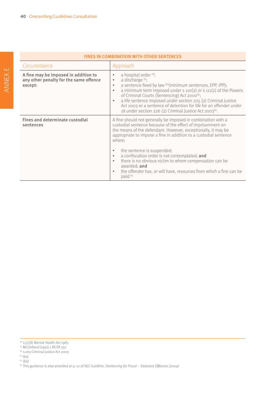| <b>FINES IN COMBINATION WITH OTHER SENTENCES</b>                                          |                                                                                                                                                                                                                                                                                                                                                                                                                                                                                                                                                                                      |
|-------------------------------------------------------------------------------------------|--------------------------------------------------------------------------------------------------------------------------------------------------------------------------------------------------------------------------------------------------------------------------------------------------------------------------------------------------------------------------------------------------------------------------------------------------------------------------------------------------------------------------------------------------------------------------------------|
| Circumstance                                                                              | Approach                                                                                                                                                                                                                                                                                                                                                                                                                                                                                                                                                                             |
| A fine may be imposed in addition to<br>any other penalty for the same offence<br>except: | a hospital order <sup>78</sup> ;<br>a discharge 79;<br>$\bullet$<br>a sentence fixed by law <sup>80</sup> (minimum sentences, EPP, IPP);<br>$\bullet$<br>a minimum term imposed under $s$ 110(2) or $s$ 111(2) of the Powers<br>$\bullet$<br>of Criminal Courts (Sentencing) Act 2000 <sup>81</sup> ;<br>a life sentence imposed under section 225 (2) Criminal Justice<br>$\bullet$<br>Act 2003 or a sentence of detention for life for an offender under<br>18 under section 226 (2) Criminal Justice Act 200382.                                                                  |
| Fines and determinate custodial<br>sentences                                              | A fine should not generally be imposed in combination with a<br>custodial sentence because of the effect of imprisonment on<br>the means of the defendant. However, exceptionally, it may be<br>appropriate to impose a fine in addition to a custodial sentence<br>where:<br>the sentence is suspended;<br>$\bullet$<br>a confiscation order is not contemplated; and<br>$\bullet$<br>there is no obvious victim to whom compensation can be<br>$\bullet$<br>awarded; and<br>the offender has, or will have, resources from which a fine can be<br>$\bullet$<br>paid. <sup>83</sup> |

 $82$  ibid

<sup>78</sup> s.37(8) Mental Health Act 1983

<sup>79</sup> McClelland [1951] 1 All ER 557

<sup>80</sup> s.163 Criminal Justice Act 2003

 $81$  ibid

<sup>83</sup> This guidance is also provided at p. 12 of SGC Guidline: Sentencing for Fraud - Statutory Offences (2009)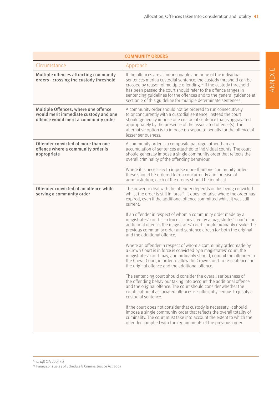| <b>COMMUNITY ORDERS</b>                                                                                                |                                                                                                                                                                                                                                                                                                                                                                                                                                         |
|------------------------------------------------------------------------------------------------------------------------|-----------------------------------------------------------------------------------------------------------------------------------------------------------------------------------------------------------------------------------------------------------------------------------------------------------------------------------------------------------------------------------------------------------------------------------------|
| Circumstance                                                                                                           | Approach                                                                                                                                                                                                                                                                                                                                                                                                                                |
| Multiple offences attracting community<br>orders - crossing the custody threshold                                      | If the offences are all imprisonable and none of the individual<br>sentences merit a custodial sentence, the custody threshold can be<br>crossed by reason of multiple offending. <sup>84</sup> If the custody threshold<br>has been passed the court should refer to the offence ranges in<br>sentencing guidelines for the offences and to the general guidance at<br>section 2 of this guideline for multiple determinate sentences. |
| Multiple Offences, where one offence<br>would merit immediate custody and one<br>offence would merit a community order | A community order should not be ordered to run consecutively<br>to or concurrently with a custodial sentence. Instead the court<br>should generally impose one custodial sentence that is aggravated<br>appropriately by the presence of the associated offence(s). The<br>alternative option is to impose no separate penalty for the offence of<br>lesser seriousness.                                                                |
| Offender convicted of more than one<br>offence where a community order is<br>appropriate                               | A community order is a composite package rather than an<br>accumulation of sentences attached to individual counts. The court<br>should generally impose a single community order that reflects the<br>overall criminality of the offending behaviour.<br>Where it is necessary to impose more than one community order,                                                                                                                |
|                                                                                                                        | these should be ordered to run concurrently and for ease of<br>administration, each of the orders should be identical.                                                                                                                                                                                                                                                                                                                  |
| Offender convicted of an offence while<br>serving a community order                                                    | The power to deal with the offender depends on his being convicted<br>whilst the order is still in force <sup>85</sup> ; it does not arise where the order has<br>expired, even if the additional offence committed whilst it was still<br>current.                                                                                                                                                                                     |
|                                                                                                                        | If an offender in respect of whom a community order made by a<br>magistrates' court is in force is convicted by a magistrates' court of an<br>additional offence, the magistrates' court should ordinarily revoke the<br>previous community order and sentence afresh for both the original<br>and the additional offence.                                                                                                              |
|                                                                                                                        | Where an offender in respect of whom a community order made by<br>a Crown Court is in force is convicted by a magistrates' court, the<br>magistrates' court may, and ordinarily should, commit the offender to<br>the Crown Court, in order to allow the Crown Court to re-sentence for<br>the original offence and the additional offence.                                                                                             |
|                                                                                                                        | The sentencing court should consider the overall seriousness of<br>the offending behaviour taking into account the additional offence<br>and the original offence. The court should consider whether the<br>combination of associated offences is sufficiently serious to justify a<br>custodial sentence.                                                                                                                              |
|                                                                                                                        | If the court does not consider that custody is necessary, it should<br>impose a single community order that reflects the overall totality of<br>criminality. The court must take into account the extent to which the<br>offender complied with the requirements of the previous order.                                                                                                                                                 |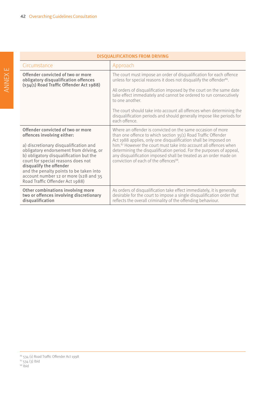| <b>DISQUALIFICATIONS FROM DRIVING</b>                                                                                                                                                                                                                                                                                                                                                 |                                                                                                                                                                                                                                                                                                                                                                                                                                                                                          |
|---------------------------------------------------------------------------------------------------------------------------------------------------------------------------------------------------------------------------------------------------------------------------------------------------------------------------------------------------------------------------------------|------------------------------------------------------------------------------------------------------------------------------------------------------------------------------------------------------------------------------------------------------------------------------------------------------------------------------------------------------------------------------------------------------------------------------------------------------------------------------------------|
| Circumstance                                                                                                                                                                                                                                                                                                                                                                          | Approach                                                                                                                                                                                                                                                                                                                                                                                                                                                                                 |
| Offender convicted of two or more<br>obligatory disqualification offences<br>(s34(1) Road Traffic Offender Act 1988)                                                                                                                                                                                                                                                                  | The court must impose an order of disqualification for each offence<br>unless for special reasons it does not disqualify the offender <sup>86</sup> .<br>All orders of disqualification imposed by the court on the same date<br>take effect immediately and cannot be ordered to run consecutively<br>to one another.<br>The court should take into account all offences when determining the<br>disqualification periods and should generally impose like periods for<br>each offence. |
| Offender convicted of two or more<br>offences involving either:<br>a) discretionary disqualification and<br>obligatory endorsement from driving, or<br>b) obligatory disqualification but the<br>court for special reasons does not<br>disqualify the offender<br>and the penalty points to be taken into<br>account number 12 or more (s28 and 35<br>Road Traffic Offender Act 1988) | Where an offender is convicted on the same occasion of more<br>than one offence to which section $35(1)$ Road Traffic Offender<br>Act 1988 applies, only one disqualification shall be imposed on<br>him. <sup>87</sup> However the court must take into account all offences when<br>determining the disqualification period. For the purposes of appeal,<br>any disqualification imposed shall be treated as an order made on<br>conviction of each of the offences <sup>88</sup> .    |
| Other combinations involving more<br>two or offences involving discretionary<br>disqualification                                                                                                                                                                                                                                                                                      | As orders of disqualification take effect immediately, it is generally<br>desirable for the court to impose a single disqualification order that<br>reflects the overall criminality of the offending behaviour.                                                                                                                                                                                                                                                                         |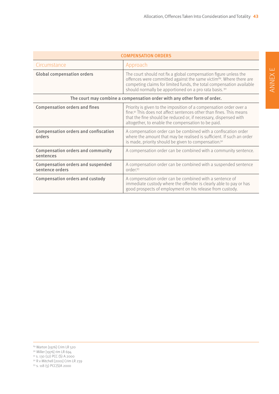| <b>COMPENSATION ORDERS</b>                                               |                                                                                                                                                                                                                                                                                                  |
|--------------------------------------------------------------------------|--------------------------------------------------------------------------------------------------------------------------------------------------------------------------------------------------------------------------------------------------------------------------------------------------|
| Circumstance                                                             | Approach                                                                                                                                                                                                                                                                                         |
| <b>Global compensation orders</b>                                        | The court should not fix a global compensation figure unless the<br>offences were committed against the same victim <sup>89</sup> . Where there are<br>competing claims for limited funds, the total compensation available<br>should normally be apportioned on a pro rata basis. <sup>90</sup> |
| The court may combine a compensation order with any other form of order. |                                                                                                                                                                                                                                                                                                  |
| <b>Compensation orders and fines</b>                                     | Priority is given to the imposition of a compensation order over a<br>fine. <sup>91</sup> This does not affect sentences other than fines. This means<br>that the fine should be reduced or, if necessary, dispensed with<br>altogether, to enable the compensation to be paid.                  |
| Compensation orders and confiscation<br>orders                           | A compensation order can be combined with a confiscation order<br>where the amount that may be realised is sufficient. If such an order<br>is made, priority should be given to compensation. <sup>92</sup>                                                                                      |
| Compensation orders and community<br>sentences                           | A compensation order can be combined with a community sentence.                                                                                                                                                                                                                                  |
| Compensation orders and suspended<br>sentence orders                     | A compensation order can be combined with a suspended sentence<br>order.93                                                                                                                                                                                                                       |
| Compensation orders and custody                                          | A compensation order can be combined with a sentence of<br>immediate custody where the offender is clearly able to pay or has<br>good prospects of employment on his release from custody.                                                                                                       |